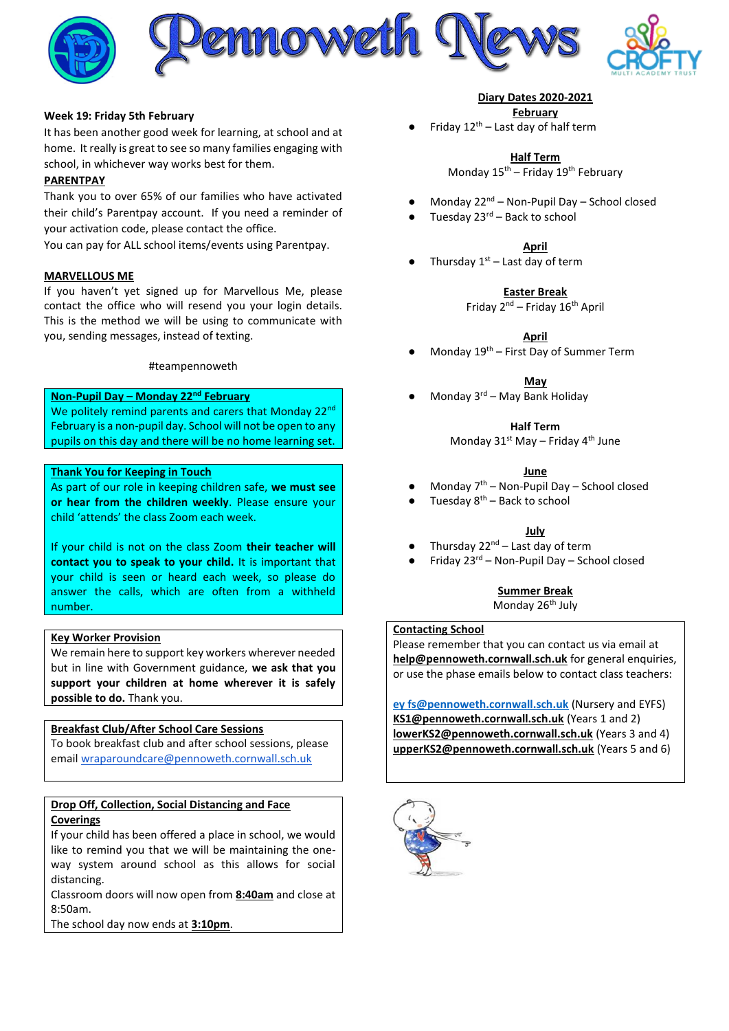





### **Week 19: Friday 5th February**

It has been another good week for learning, at school and at home. It really is great to see so many families engaging with school, in whichever way works best for them.

### **PARENTPAY**

Thank you to over 65% of our families who have activated their child's Parentpay account. If you need a reminder of your activation code, please contact the office.

You can pay for ALL school items/events using Parentpay.

### **MARVELLOUS ME**

If you haven't yet signed up for Marvellous Me, please contact the office who will resend you your login details. This is the method we will be using to communicate with you, sending messages, instead of texting.

#### #teampennoweth

# **Non-Pupil Day – Monday 22nd February**

We politely remind parents and carers that Monday 22<sup>nd</sup> February is a non-pupil day. School will not be open to any pupils on this day and there will be no home learning set.

#### **Thank You for Keeping in Touch**

As part of our role in keeping children safe, **we must see or hear from the children weekly**. Please ensure your child 'attends' the class Zoom each week.

If your child is not on the class Zoom **their teacher will contact you to speak to your child.** It is important that your child is seen or heard each week, so please do answer the calls, which are often from a withheld number.

### **Key Worker Provision**

We remain here to support key workers wherever needed but in line with Government guidance, **we ask that you support your children at home wherever it is safely possible to do.** Thank you.

### **Breakfast Club/After School Care Sessions**

To book breakfast club and after school sessions, please email [wraparoundcare@pennoweth.cornwall.sch.uk](mailto:wraparoundcare@pennoweth.cornwall.sch.uk)

# **Drop Off, Collection, Social Distancing and Face Coverings**

If your child has been offered a place in school, we would like to remind you that we will be maintaining the oneway system around school as this allows for social distancing.

Classroom doors will now open from **8:40am** and close at 8:50am.

The school day now ends at **3:10pm**.

### **Diary Dates 2020-2021**

**February**

Friday  $12<sup>th</sup>$  – Last day of half term

**Half Term** Monday  $15^{th}$  – Friday  $19^{th}$  February

- Monday 22<sup>nd</sup> Non-Pupil Day School closed
- Tuesday 23<sup>rd</sup> Back to school

**April**

Thursday  $1<sup>st</sup>$  – Last day of term

### **Easter Break**

Friday 2nd – Friday 16th April

### **April**

Monday  $19<sup>th</sup>$  – First Day of Summer Term

**May**

Monday  $3^{rd}$  – May Bank Holiday

**Half Term**

Monday  $31^{st}$  May – Friday  $4^{th}$  June

### **June**

- Monday  $7<sup>th</sup>$  Non-Pupil Day School closed
- Tuesday  $8<sup>th</sup>$  Back to school

## **July**

- Thursday  $22^{nd}$  Last day of term
- Friday 23<sup>rd</sup> Non-Pupil Day School closed

## **Summer Break**

Monday 26<sup>th</sup> July

## **Contacting School**

Please remember that you can contact us via email at **[help@pennoweth.cornwall.sch.uk](mailto:help@pennoweth.cornwall.sch.uk)** for general enquiries, or use the phase emails below to contact class teachers:

**[ey fs@pennoweth.cornwall.sch.uk](mailto:ey%20fs@pennoweth.cornwall.sch.uk)** (Nursery and EYFS) **[KS1@pennoweth.cornwall.sch.uk](mailto:KS1@pennoweth.cornwall.sch.uk)** (Years 1 and 2) **[lowerKS2@pennoweth.cornwall.sch.uk](mailto:lowerKS2@pennoweth.cornwall.sch.uk)** (Years 3 and 4) **[upperKS2@pennoweth.cornwall.sch.uk](mailto:upperKS2@pennoweth.cornwall.sch.uk)** (Years 5 and 6)